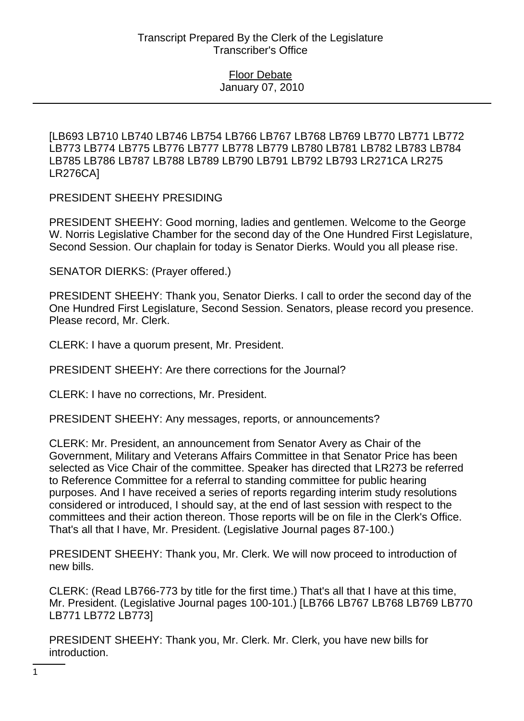## Floor Debate January 07, 2010

[LB693 LB710 LB740 LB746 LB754 LB766 LB767 LB768 LB769 LB770 LB771 LB772 LB773 LB774 LB775 LB776 LB777 LB778 LB779 LB780 LB781 LB782 LB783 LB784 LB785 LB786 LB787 LB788 LB789 LB790 LB791 LB792 LB793 LR271CA LR275 LR276CA]

PRESIDENT SHEEHY PRESIDING

PRESIDENT SHEEHY: Good morning, ladies and gentlemen. Welcome to the George W. Norris Legislative Chamber for the second day of the One Hundred First Legislature, Second Session. Our chaplain for today is Senator Dierks. Would you all please rise.

SENATOR DIERKS: (Prayer offered.)

PRESIDENT SHEEHY: Thank you, Senator Dierks. I call to order the second day of the One Hundred First Legislature, Second Session. Senators, please record you presence. Please record, Mr. Clerk.

CLERK: I have a quorum present, Mr. President.

PRESIDENT SHEEHY: Are there corrections for the Journal?

CLERK: I have no corrections, Mr. President.

PRESIDENT SHEEHY: Any messages, reports, or announcements?

CLERK: Mr. President, an announcement from Senator Avery as Chair of the Government, Military and Veterans Affairs Committee in that Senator Price has been selected as Vice Chair of the committee. Speaker has directed that LR273 be referred to Reference Committee for a referral to standing committee for public hearing purposes. And I have received a series of reports regarding interim study resolutions considered or introduced, I should say, at the end of last session with respect to the committees and their action thereon. Those reports will be on file in the Clerk's Office. That's all that I have, Mr. President. (Legislative Journal pages 87-100.)

PRESIDENT SHEEHY: Thank you, Mr. Clerk. We will now proceed to introduction of new bills.

CLERK: (Read LB766-773 by title for the first time.) That's all that I have at this time, Mr. President. (Legislative Journal pages 100-101.) [LB766 LB767 LB768 LB769 LB770 LB771 LB772 LB773]

PRESIDENT SHEEHY: Thank you, Mr. Clerk. Mr. Clerk, you have new bills for introduction.